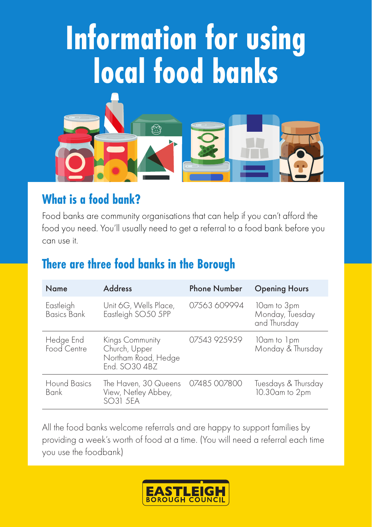# **Information for using local food banks**



#### **What is a food bank?**

Food banks are community organisations that can help if you can't afford the food you need. You'll usually need to get a referral to a food bank before you can use it.

### **There are three food banks in the Borough**

| Name                            | <b>Address</b>                                                           | <b>Phone Number</b> | <b>Opening Hours</b>                           |
|---------------------------------|--------------------------------------------------------------------------|---------------------|------------------------------------------------|
| Eastleigh<br><b>Basics Bank</b> | Unit 6G, Wells Place,<br>Eastleigh SO50 5PP                              | 07563 609994        | 10am to 3pm<br>Monday, Tuesday<br>and Thursday |
| Hedge End<br>Food Centre        | Kings Community<br>Church, Upper<br>Northam Road, Hedge<br>End. SO30 4BZ | 07543 925959        | 10am to 1pm<br>Monday & Thursday               |
| Hound Basics<br><b>Bank</b>     | The Haven, 30 Queens<br>View, Netley Abbey,<br>SO31 5EA                  | 07485 007800        | Tuesdays & Thursday<br>10.30am to 2pm          |

All the food banks welcome referrals and are happy to support families by providing a week's worth of food at a time. (You will need a referral each time you use the foodbank)